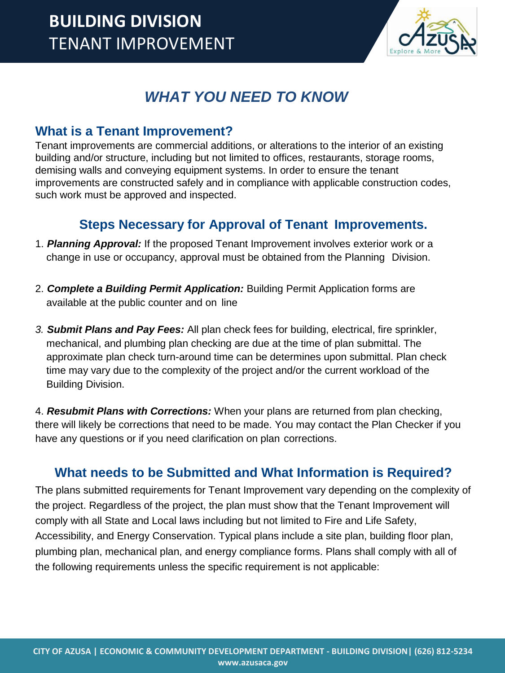

## *WHAT YOU NEED TO KNOW*

## **What is a Tenant Improvement?**

Tenant improvements are commercial additions, or alterations to the interior of an existing building and/or structure, including but not limited to offices, restaurants, storage rooms, demising walls and conveying equipment systems. In order to ensure the tenant improvements are constructed safely and in compliance with applicable construction codes, such work must be approved and inspected.

## **Steps Necessary for Approval of Tenant Improvements.**

- 1. *Planning Approval:* If the proposed Tenant Improvement involves exterior work or a change in use or occupancy, approval must be obtained from the Planning Division.
- 2. *Complete a Building Permit Application:* Building Permit Application forms are available at the public counter and on line
- *3. Submit Plans and Pay Fees:* All plan check fees for building, electrical, fire sprinkler, mechanical, and plumbing plan checking are due at the time of plan submittal. The approximate plan check turn-around time can be determines upon submittal. Plan check time may vary due to the complexity of the project and/or the current workload of the Building Division.

4. *Resubmit Plans with Corrections:* When your plans are returned from plan checking, there will likely be corrections that need to be made. You may contact the Plan Checker if you have any questions or if you need clarification on plan corrections.

## **What needs to be Submitted and What Information is Required?**

The plans submitted requirements for Tenant Improvement vary depending on the complexity of the project. Regardless of the project, the plan must show that the Tenant Improvement will comply with all State and Local laws including but not limited to Fire and Life Safety, Accessibility, and Energy Conservation. Typical plans include a site plan, building floor plan, plumbing plan, mechanical plan, and energy compliance forms. Plans shall comply with all of the following requirements unless the specific requirement is not applicable: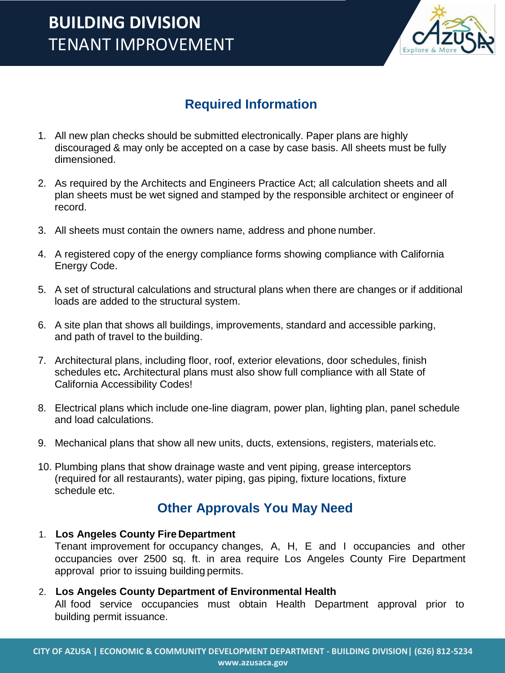# **BUILDING DIVISION** TENANT IMPROVEMENT



## **Required Information**

- 1. All new plan checks should be submitted electronically. Paper plans are highly discouraged & may only be accepted on a case by case basis. All sheets must be fully dimensioned.
- 2. As required by the Architects and Engineers Practice Act; all calculation sheets and all plan sheets must be wet signed and stamped by the responsible architect or engineer of record.
- 3. All sheets must contain the owners name, address and phone number.
- 4. A registered copy of the energy compliance forms showing compliance with California Energy Code.
- 5. A set of structural calculations and structural plans when there are changes or if additional loads are added to the structural system.
- 6. A site plan that shows all buildings, improvements, standard and accessible parking, and path of travel to the building.
- 7. Architectural plans, including floor, roof, exterior elevations, door schedules, finish schedules etc**.** Architectural plans must also show full compliance with all State of California Accessibility Codes!
- 8. Electrical plans which include one-line diagram, power plan, lighting plan, panel schedule and load calculations.
- 9. Mechanical plans that show all new units, ducts, extensions, registers, materials etc.
- 10. Plumbing plans that show drainage waste and vent piping, grease interceptors (required for all restaurants), water piping, gas piping, fixture locations, fixture schedule etc.

## **Other Approvals You May Need**

#### 1. **Los Angeles County Fire Department**

Tenant improvement for occupancy changes, A, H, E and I occupancies and other occupancies over 2500 sq. ft. in area require Los Angeles County Fire Department approval prior to issuing building permits.

#### 2. **Los Angeles County Department of Environmental Health**

All food service occupancies must obtain Health Department approval prior to building permit issuance.